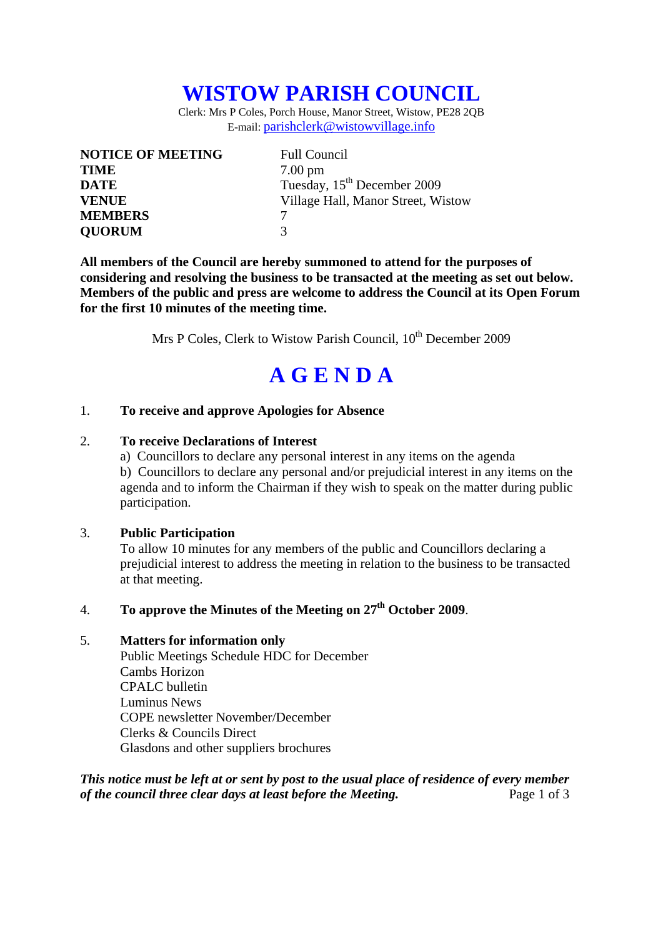## **WISTOW PARISH COUNCIL**

Clerk: Mrs P Coles, Porch House, Manor Street, Wistow, PE28 2QB E-mail: parishclerk@wistowvillage.info

| <b>NOTICE OF MEETING</b> | <b>Full Council</b>                     |
|--------------------------|-----------------------------------------|
| <b>TIME</b>              | $7.00 \text{ pm}$                       |
| <b>DATE</b>              | Tuesday, 15 <sup>th</sup> December 2009 |
| <b>VENUE</b>             | Village Hall, Manor Street, Wistow      |
| <b>MEMBERS</b>           |                                         |
| <b>QUORUM</b>            | 3                                       |

**All members of the Council are hereby summoned to attend for the purposes of considering and resolving the business to be transacted at the meeting as set out below. Members of the public and press are welcome to address the Council at its Open Forum for the first 10 minutes of the meeting time.** 

Mrs P Coles, Clerk to Wistow Parish Council, 10<sup>th</sup> December 2009

# **A G E N D A**

#### 1. **To receive and approve Apologies for Absence**

#### 2. **To receive Declarations of Interest**

 a) Councillors to declare any personal interest in any items on the agenda b) Councillors to declare any personal and/or prejudicial interest in any items on the agenda and to inform the Chairman if they wish to speak on the matter during public participation.

#### 3. **Public Participation**

To allow 10 minutes for any members of the public and Councillors declaring a prejudicial interest to address the meeting in relation to the business to be transacted at that meeting.

## 4. **To approve the Minutes of the Meeting on 27th October 2009**.

#### 5. **Matters for information only**

Public Meetings Schedule HDC for December Cambs Horizon CPALC bulletin Luminus News COPE newsletter November/December Clerks & Councils Direct Glasdons and other suppliers brochures

*This notice must be left at or sent by post to the usual place of residence of every member of the council three clear days at least before the Meeting.* Page 1 of 3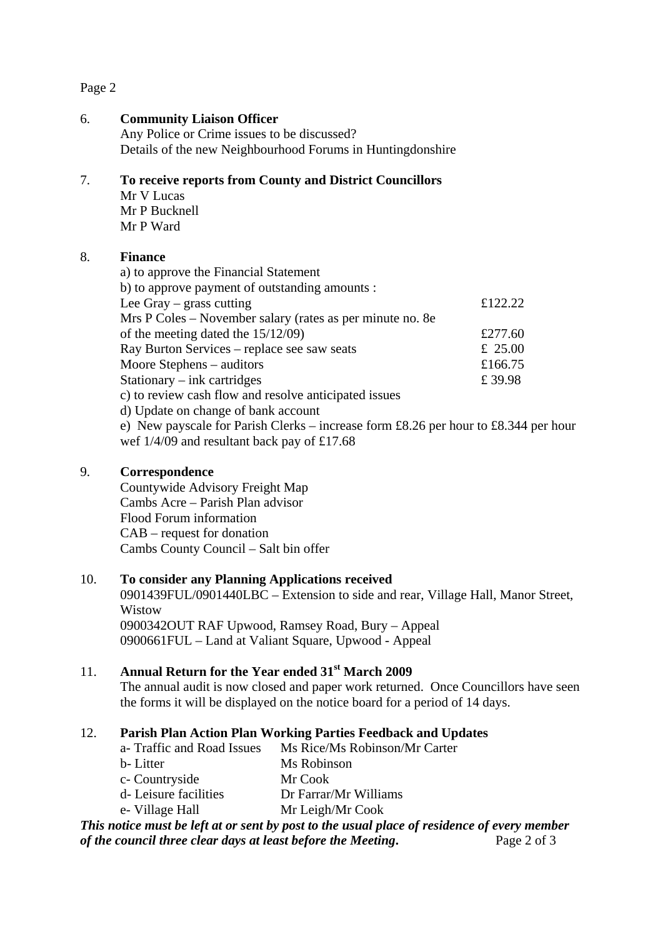#### Page 2

#### 6. **Community Liaison Officer**

Any Police or Crime issues to be discussed? Details of the new Neighbourhood Forums in Huntingdonshire

#### 7. **To receive reports from County and District Councillors**

Mr V Lucas Mr P Bucknell Mr P Ward

#### 8. **Finance**

| a) to approve the Financial Statement                                               |         |
|-------------------------------------------------------------------------------------|---------|
| b) to approve payment of outstanding amounts :                                      |         |
| Lee Gray $-$ grass cutting                                                          | £122.22 |
| Mrs P Coles – November salary (rates as per minute no. 8e                           |         |
| of the meeting dated the $15/12/09$ )                                               | £277.60 |
| Ray Burton Services – replace see saw seats                                         | £ 25.00 |
| Moore Stephens – auditors                                                           | £166.75 |
| Stationary $-$ ink cartridges                                                       | £39.98  |
| c) to review cash flow and resolve anticipated issues                               |         |
| d) Update on change of bank account                                                 |         |
| e) New payscale for Parish Clerks – increase form £8.26 per hour to £8.344 per hour |         |
| wef $1/4/09$ and resultant back pay of £17.68                                       |         |

#### 9. **Correspondence**

Countywide Advisory Freight Map Cambs Acre – Parish Plan advisor Flood Forum information CAB – request for donation Cambs County Council – Salt bin offer

## 10. **To consider any Planning Applications received**

0901439FUL/0901440LBC – Extension to side and rear, Village Hall, Manor Street, Wistow 0900342OUT RAF Upwood, Ramsey Road, Bury – Appeal 0900661FUL – Land at Valiant Square, Upwood - Appeal

## 11. **Annual Return for the Year ended 31st March 2009**

 The annual audit is now closed and paper work returned. Once Councillors have seen the forms it will be displayed on the notice board for a period of 14 days.

## 12. **Parish Plan Action Plan Working Parties Feedback and Updates**

| Ms Rice/Ms Robinson/Mr Carter |
|-------------------------------|
| Ms Robinson                   |
| Mr Cook                       |
| Dr Farrar/Mr Williams         |
| Mr Leigh/Mr Cook              |
|                               |

#### *This notice must be left at or sent by post to the usual place of residence of every member of the council three clear days at least before the Meeting***.** Page 2 of 3